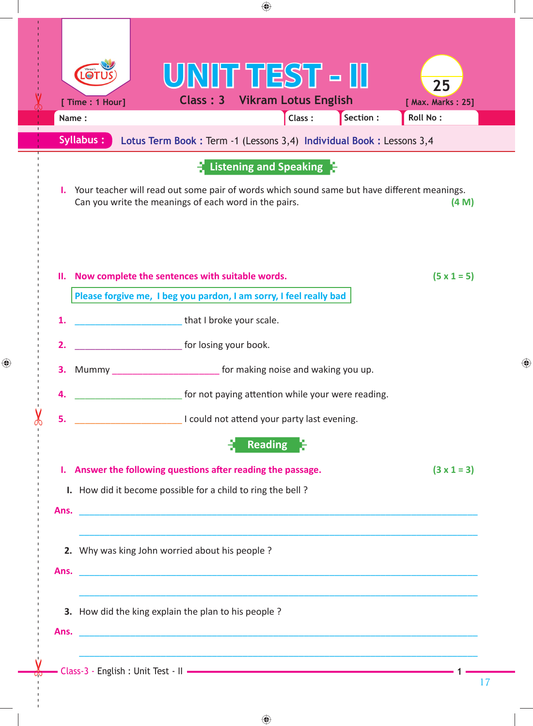|       | $\bigoplus$                                                                                                                                                                                                            |    |
|-------|------------------------------------------------------------------------------------------------------------------------------------------------------------------------------------------------------------------------|----|
| Name: | UNIT TEST - II<br>$\odot$ T<br>25<br><b>Class: 3 Vikram Lotus English</b><br>[ Time : 1 Hour]<br>[ Max. Marks: 25]<br>Section :<br>Class:<br>Roll No:                                                                  |    |
|       | <b>Syllabus:</b><br>Lotus Term Book : Term -1 (Lessons 3,4) Individual Book : Lessons 3,4                                                                                                                              |    |
|       | $\frac{1}{2}$ Listening and Speaking $\frac{1}{2}$<br>I. Your teacher will read out some pair of words which sound same but have different meanings.<br>Can you write the meanings of each word in the pairs.<br>(4 M) |    |
| н.    | Now complete the sentences with suitable words.<br>$(5 \times 1 = 5)$<br>Please forgive me, I beg you pardon, I am sorry, I feel really bad                                                                            |    |
| 1.    | that I broke your scale.                                                                                                                                                                                               |    |
| 2.    | for losing your book.                                                                                                                                                                                                  |    |
|       | for making noise and waking you up.<br>Mummy                                                                                                                                                                           |    |
| 4.    | for not paying attention while your were reading.                                                                                                                                                                      |    |
| 5.    | I could not attend your party last evening.                                                                                                                                                                            |    |
|       | <b>Reading</b>                                                                                                                                                                                                         |    |
|       | $(3 \times 1 = 3)$<br>I. Answer the following questions after reading the passage.                                                                                                                                     |    |
|       | I. How did it become possible for a child to ring the bell?                                                                                                                                                            |    |
|       | 2. Why was king John worried about his people?                                                                                                                                                                         |    |
|       | 3. How did the king explain the plan to his people ?                                                                                                                                                                   |    |
|       |                                                                                                                                                                                                                        |    |
|       |                                                                                                                                                                                                                        | 17 |

 $\bigoplus$